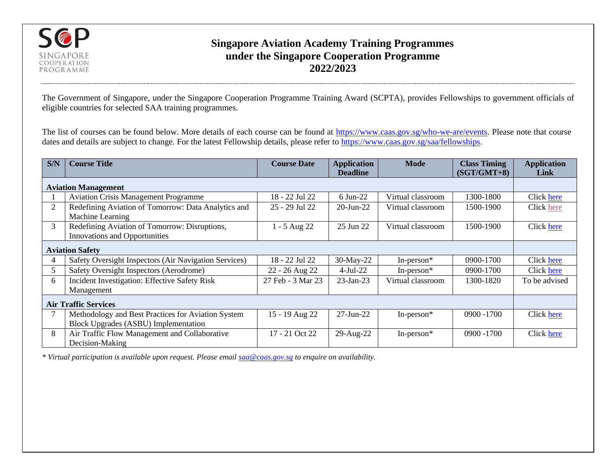

## **Singapore Aviation Academy Training Programmes under the Singapore Cooperation Programme 2022/2023**

The Government of Singapore, under the Singapore Cooperation Programme Training Award (SCPTA), provides Fellowships to government officials of eligible countries for selected SAA training programmes.

The list of courses can be found below. More details of each course can be found at [https://www.caas.gov.sg/who-we-are/events.](https://www.caas.gov.sg/who-we-are/events) Please note that course dates and details are subject to change. For the latest Fellowship details, please refer to [https://www.caas.gov.sg/saa/fellowships.](https://www.caas.gov.sg/saa/fellowships)

| S/N                         | <b>Course Title</b>                                                                               | <b>Course Date</b> | <b>Application</b><br><b>Deadline</b> | <b>Mode</b>       | <b>Class Timing</b><br>$(SGT/GMT+8)$ | <b>Application</b><br>Link |
|-----------------------------|---------------------------------------------------------------------------------------------------|--------------------|---------------------------------------|-------------------|--------------------------------------|----------------------------|
| <b>Aviation Management</b>  |                                                                                                   |                    |                                       |                   |                                      |                            |
|                             | <b>Aviation Crisis Management Programme</b>                                                       | 18 - 22 Jul 22     | 6 Jun-22                              | Virtual classroom | 1300-1800                            | Click here                 |
| 2                           | Redefining Aviation of Tomorrow: Data Analytics and<br>Machine Learning                           | 25 - 29 Jul 22     | $20$ -Jun- $22$                       | Virtual classroom | 1500-1900                            | Click here                 |
| 3                           | Redefining Aviation of Tomorrow: Disruptions,<br><b>Innovations and Opportunities</b>             | $-5$ Aug 22        | 25 Jun 22                             | Virtual classroom | 1500-1900                            | Click here                 |
| <b>Aviation Safety</b>      |                                                                                                   |                    |                                       |                   |                                      |                            |
|                             | Safety Oversight Inspectors (Air Navigation Services)                                             | 18 - 22 Jul 22     | 30-May-22                             | In-person $*$     | $0900 - 1700$                        | Click here                 |
| 5                           | Safety Oversight Inspectors (Aerodrome)                                                           | 22 - 26 Aug 22     | $4-Jul-22$                            | In-person $*$     | 0900-1700                            | Click here                 |
| 6                           | Incident Investigation: Effective Safety Risk                                                     | 27 Feb - 3 Mar 23  | $23$ -Jan- $23$                       | Virtual classroom | 1300-1820                            | To be advised              |
|                             | Management                                                                                        |                    |                                       |                   |                                      |                            |
| <b>Air Traffic Services</b> |                                                                                                   |                    |                                       |                   |                                      |                            |
|                             | Methodology and Best Practices for Aviation System<br><b>Block Upgrades (ASBU) Implementation</b> | 15 - 19 Aug 22     | 27-Jun-22                             | In-person $*$     | 0900 -1700                           | Click here                 |
| 8                           | Air Traffic Flow Management and Collaborative<br>Decision-Making                                  | 17 - 21 Oct 22     | 29-Aug-22                             | In-person $*$     | 0900 -1700                           | Click here                 |

*\* Virtual participation is available upon request. Please emai[l saa@caas.gov.sg](mailto:saa@caas.gov.sg) to enquire on availability.*